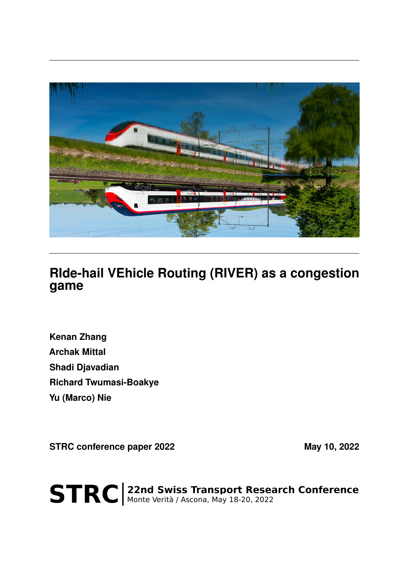

## **RIde-hail VEhicle Routing (RIVER) as a congestion game**

**Kenan Zhang Archak Mittal Shadi Djavadian Richard Twumasi-Boakye Yu (Marco) Nie**

**STRC conference paper 2022** May 10, 2022

STRC | 22nd Swiss Transport Research Conference